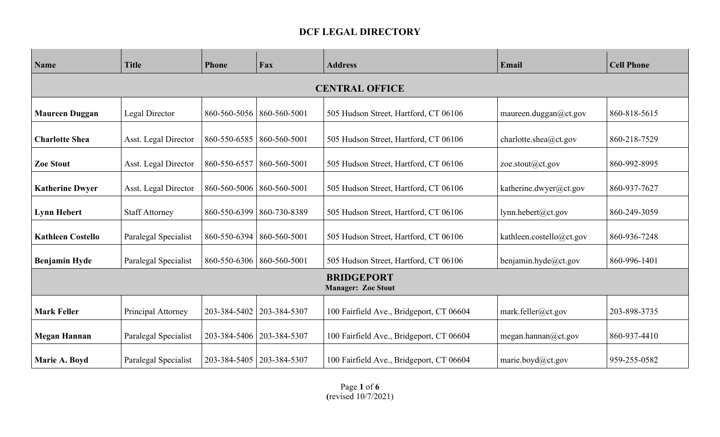## **DCF LEGAL DIRECTORY**

| <b>Name</b>                                    | <b>Title</b>          | Phone        | Fax                         | <b>Address</b>                           | Email                    | <b>Cell Phone</b> |  |  |
|------------------------------------------------|-----------------------|--------------|-----------------------------|------------------------------------------|--------------------------|-------------------|--|--|
| <b>CENTRAL OFFICE</b>                          |                       |              |                             |                                          |                          |                   |  |  |
| <b>Maureen Duggan</b>                          | Legal Director        |              | 860-560-5056   860-560-5001 | 505 Hudson Street, Hartford, CT 06106    | maureen.duggan@ct.gov    | 860-818-5615      |  |  |
| <b>Charlotte Shea</b>                          | Asst. Legal Director  | 860-550-6585 | 860-560-5001                | 505 Hudson Street, Hartford, CT 06106    | charlotte.shea@ct.gov    | 860-218-7529      |  |  |
| <b>Zoe Stout</b>                               | Asst. Legal Director  | 860-550-6557 | 860-560-5001                | 505 Hudson Street, Hartford, CT 06106    | zoe.stout $(a)$ ct.gov   | 860-992-8995      |  |  |
| <b>Katherine Dwyer</b>                         | Asst. Legal Director  | 860-560-5006 | 860-560-5001                | 505 Hudson Street, Hartford, CT 06106    | katherine.dwyer@ct.gov   | 860-937-7627      |  |  |
| <b>Lynn Hebert</b>                             | <b>Staff Attorney</b> | 860-550-6399 | 860-730-8389                | 505 Hudson Street, Hartford, CT 06106    | lynn.hebert@ct.gov       | 860-249-3059      |  |  |
| <b>Kathleen Costello</b>                       | Paralegal Specialist  | 860-550-6394 | 860-560-5001                | 505 Hudson Street, Hartford, CT 06106    | kathleen.costello@ct.gov | 860-936-7248      |  |  |
| <b>Benjamin Hyde</b>                           | Paralegal Specialist  |              | 860-550-6306   860-560-5001 | 505 Hudson Street, Hartford, CT 06106    | benjamin.hyde@ct.gov     | 860-996-1401      |  |  |
| <b>BRIDGEPORT</b><br><b>Manager: Zoe Stout</b> |                       |              |                             |                                          |                          |                   |  |  |
| <b>Mark Feller</b>                             | Principal Attorney    | 203-384-5402 | 203-384-5307                | 100 Fairfield Ave., Bridgeport, CT 06604 | mark.feller@ct.gov       | 203-898-3735      |  |  |
| <b>Megan Hannan</b>                            | Paralegal Specialist  | 203-384-5406 | 203-384-5307                | 100 Fairfield Ave., Bridgeport, CT 06604 | megan.hannan@ct.gov      | 860-937-4410      |  |  |
| Marie A. Boyd                                  | Paralegal Specialist  | 203-384-5405 | 203-384-5307                | 100 Fairfield Ave., Bridgeport, CT 06604 | marie.boyd@ct.gov        | 959-255-0582      |  |  |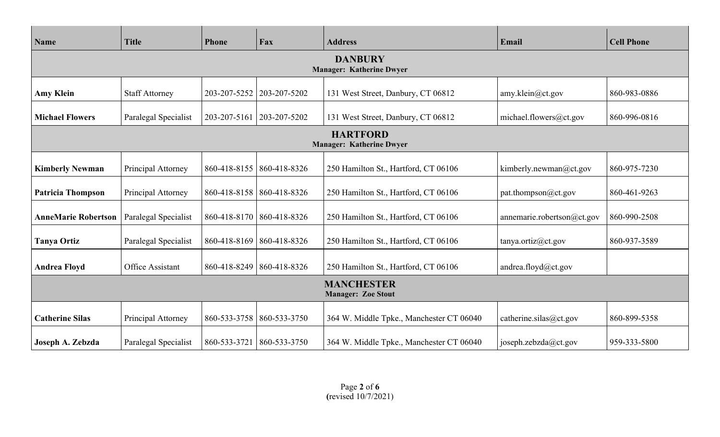| Name                                              | <b>Title</b>                                       | Phone              | Fax                         | <b>Address</b>                           | Email                         | <b>Cell Phone</b> |  |  |  |
|---------------------------------------------------|----------------------------------------------------|--------------------|-----------------------------|------------------------------------------|-------------------------------|-------------------|--|--|--|
| <b>DANBURY</b><br><b>Manager: Katherine Dwyer</b> |                                                    |                    |                             |                                          |                               |                   |  |  |  |
| <b>Amy Klein</b>                                  | <b>Staff Attorney</b>                              | 203-207-5252       | 203-207-5202                | 131 West Street, Danbury, CT 06812       | amy.klein@ct.gov              | 860-983-0886      |  |  |  |
| <b>Michael Flowers</b>                            | Paralegal Specialist                               | 203-207-5161       | 203-207-5202                | 131 West Street, Danbury, CT 06812       | michael.flowers@ct.gov        | 860-996-0816      |  |  |  |
|                                                   | <b>HARTFORD</b><br><b>Manager: Katherine Dwyer</b> |                    |                             |                                          |                               |                   |  |  |  |
| <b>Kimberly Newman</b>                            | Principal Attorney                                 |                    | 860-418-8155   860-418-8326 | 250 Hamilton St., Hartford, CT 06106     | kimberly.newman@ct.gov        | 860-975-7230      |  |  |  |
| <b>Patricia Thompson</b>                          | Principal Attorney                                 |                    | 860-418-8158   860-418-8326 | 250 Hamilton St., Hartford, CT 06106     | pat.thompson@ct.gov           | 860-461-9263      |  |  |  |
| <b>AnneMarie Robertson</b>                        | Paralegal Specialist                               |                    | 860-418-8170   860-418-8326 | 250 Hamilton St., Hartford, CT 06106     | annemarie.robertson $@ct.gov$ | 860-990-2508      |  |  |  |
| <b>Tanya Ortiz</b>                                | Paralegal Specialist                               | $860 - 418 - 8169$ | 860-418-8326                | 250 Hamilton St., Hartford, CT 06106     | tanya.ortiz@ct.gov            | 860-937-3589      |  |  |  |
| <b>Andrea Floyd</b>                               | Office Assistant                                   |                    | 860-418-8249   860-418-8326 | 250 Hamilton St., Hartford, CT 06106     | andrea.floyd@ct.gov           |                   |  |  |  |
| <b>MANCHESTER</b><br><b>Manager: Zoe Stout</b>    |                                                    |                    |                             |                                          |                               |                   |  |  |  |
| <b>Catherine Silas</b>                            | Principal Attorney                                 |                    | 860-533-3758 860-533-3750   | 364 W. Middle Tpke., Manchester CT 06040 | catherine.silas@ct.gov        | 860-899-5358      |  |  |  |
| Joseph A. Zebzda                                  | Paralegal Specialist                               | 860-533-3721       | 860-533-3750                | 364 W. Middle Tpke., Manchester CT 06040 | joseph.zebzda@ct.gov          | 959-333-5800      |  |  |  |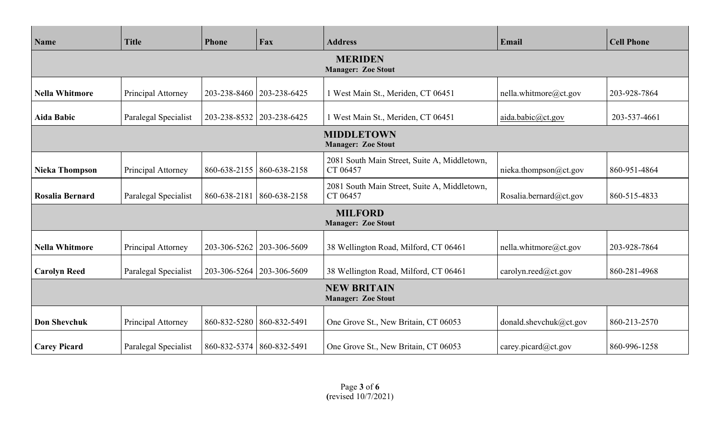| Name                                            | <b>Title</b>         | Phone                       | Fax                         | <b>Address</b>                                           | Email                  | <b>Cell Phone</b> |  |  |
|-------------------------------------------------|----------------------|-----------------------------|-----------------------------|----------------------------------------------------------|------------------------|-------------------|--|--|
| <b>MERIDEN</b><br><b>Manager: Zoe Stout</b>     |                      |                             |                             |                                                          |                        |                   |  |  |
| <b>Nella Whitmore</b>                           | Principal Attorney   |                             | 203-238-8460   203-238-6425 | 1 West Main St., Meriden, CT 06451                       | nella.whitmore@ct.gov  | 203-928-7864      |  |  |
| <b>Aida Babic</b>                               | Paralegal Specialist |                             | 203-238-8532   203-238-6425 | 1 West Main St., Meriden, CT 06451                       | aida.babic@ct.gov      | 203-537-4661      |  |  |
|                                                 |                      |                             |                             | <b>MIDDLETOWN</b><br><b>Manager: Zoe Stout</b>           |                        |                   |  |  |
| <b>Nieka Thompson</b>                           | Principal Attorney   |                             | 860-638-2155   860-638-2158 | 2081 South Main Street, Suite A, Middletown,<br>CT 06457 | nieka.thompson@ct.gov  | 860-951-4864      |  |  |
| <b>Rosalia Bernard</b>                          | Paralegal Specialist |                             | 860-638-2181   860-638-2158 | 2081 South Main Street, Suite A, Middletown,<br>CT 06457 | Rosalia.bernard@ct.gov | 860-515-4833      |  |  |
| <b>MILFORD</b><br><b>Manager: Zoe Stout</b>     |                      |                             |                             |                                                          |                        |                   |  |  |
| <b>Nella Whitmore</b>                           | Principal Attorney   |                             | 203-306-5262   203-306-5609 | 38 Wellington Road, Milford, CT 06461                    | nella.whitmore@ct.gov  | 203-928-7864      |  |  |
| <b>Carolyn Reed</b>                             | Paralegal Specialist |                             | 203-306-5264   203-306-5609 | 38 Wellington Road, Milford, CT 06461                    | carolyn.reed@ct.gov    | 860-281-4968      |  |  |
| <b>NEW BRITAIN</b><br><b>Manager: Zoe Stout</b> |                      |                             |                             |                                                          |                        |                   |  |  |
| <b>Don Shevchuk</b>                             | Principal Attorney   | 860-832-5280   860-832-5491 |                             | One Grove St., New Britain, CT 06053                     | donald.shevchuk@ct.gov | 860-213-2570      |  |  |
| <b>Carey Picard</b>                             | Paralegal Specialist | 860-832-5374   860-832-5491 |                             | One Grove St., New Britain, CT 06053                     | carey.picard@ct.gov    | 860-996-1258      |  |  |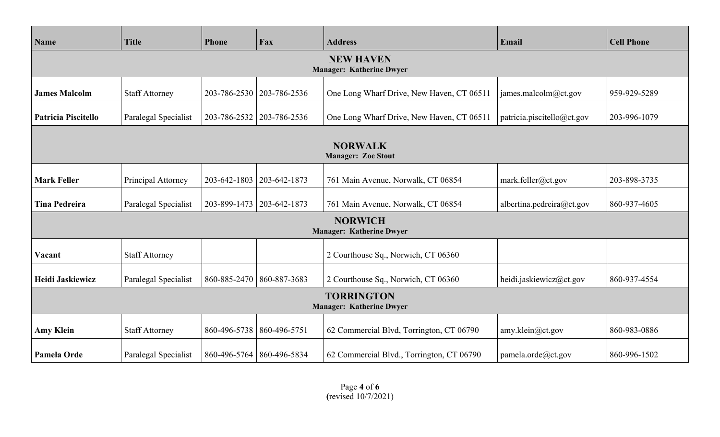| Name                                                 | <b>Title</b>          | Phone                       | Fax                         | <b>Address</b>                                    | Email                      | <b>Cell Phone</b> |  |  |
|------------------------------------------------------|-----------------------|-----------------------------|-----------------------------|---------------------------------------------------|----------------------------|-------------------|--|--|
| <b>NEW HAVEN</b><br><b>Manager: Katherine Dwyer</b>  |                       |                             |                             |                                                   |                            |                   |  |  |
| <b>James Malcolm</b>                                 | <b>Staff Attorney</b> |                             | 203-786-2530   203-786-2536 | One Long Wharf Drive, New Haven, CT 06511         | james.malcolm@ct.gov       | 959-929-5289      |  |  |
| <b>Patricia Piscitello</b>                           | Paralegal Specialist  | 203-786-2532                | 203-786-2536                | One Long Wharf Drive, New Haven, CT 06511         | patricia.piscitello@ct.gov | 203-996-1079      |  |  |
| <b>NORWALK</b><br><b>Manager: Zoe Stout</b>          |                       |                             |                             |                                                   |                            |                   |  |  |
| <b>Mark Feller</b>                                   | Principal Attorney    | 203-642-1803                | 203-642-1873                | 761 Main Avenue, Norwalk, CT 06854                | mark.feller@ct.gov         | 203-898-3735      |  |  |
| <b>Tina Pedreira</b>                                 | Paralegal Specialist  | 203-899-1473                | 203-642-1873                | 761 Main Avenue, Norwalk, CT 06854                | albertina.pedreira@ct.gov  | 860-937-4605      |  |  |
|                                                      |                       |                             |                             | <b>NORWICH</b><br><b>Manager: Katherine Dwyer</b> |                            |                   |  |  |
| Vacant                                               | <b>Staff Attorney</b> |                             |                             | 2 Courthouse Sq., Norwich, CT 06360               |                            |                   |  |  |
| Heidi Jaskiewicz                                     | Paralegal Specialist  | 860-885-2470                | 860-887-3683                | 2 Courthouse Sq., Norwich, CT 06360               | heidi.jaskiewicz@ct.gov    | 860-937-4554      |  |  |
| <b>TORRINGTON</b><br><b>Manager: Katherine Dwyer</b> |                       |                             |                             |                                                   |                            |                   |  |  |
| <b>Amy Klein</b>                                     | <b>Staff Attorney</b> | 860-496-5738                | 860-496-5751                | 62 Commercial Blvd, Torrington, CT 06790          | amy.klein@ct.gov           | 860-983-0886      |  |  |
| Pamela Orde                                          | Paralegal Specialist  | 860-496-5764   860-496-5834 |                             | 62 Commercial Blvd., Torrington, CT 06790         | pamela.orde@ct.gov         | 860-996-1502      |  |  |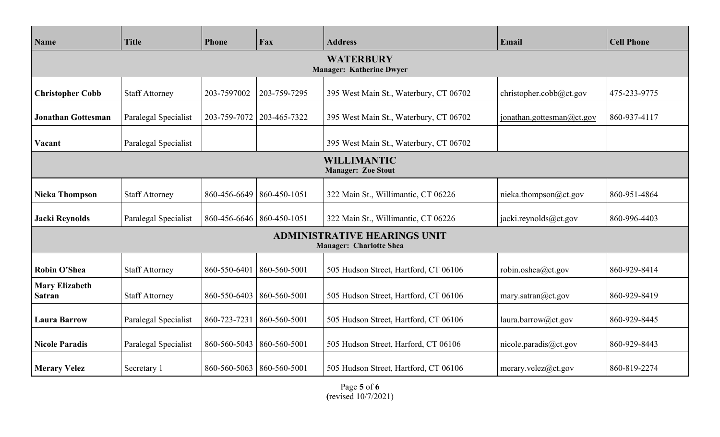| <b>Name</b>                                         | <b>Title</b>          | Phone        | Fax                         | <b>Address</b>                                                        | Email                     | <b>Cell Phone</b> |  |  |
|-----------------------------------------------------|-----------------------|--------------|-----------------------------|-----------------------------------------------------------------------|---------------------------|-------------------|--|--|
| <b>WATERBURY</b><br><b>Manager: Katherine Dwyer</b> |                       |              |                             |                                                                       |                           |                   |  |  |
| <b>Christopher Cobb</b>                             | <b>Staff Attorney</b> | 203-7597002  | 203-759-7295                | 395 West Main St., Waterbury, CT 06702                                | christopher.cobb@ct.gov   | 475-233-9775      |  |  |
| <b>Jonathan Gottesman</b>                           | Paralegal Specialist  | 203-759-7072 | 203-465-7322                | 395 West Main St., Waterbury, CT 06702                                | jonathan.gottesman@ct.gov | 860-937-4117      |  |  |
| Vacant                                              | Paralegal Specialist  |              |                             | 395 West Main St., Waterbury, CT 06702                                |                           |                   |  |  |
| <b>WILLIMANTIC</b><br><b>Manager: Zoe Stout</b>     |                       |              |                             |                                                                       |                           |                   |  |  |
| <b>Nieka Thompson</b>                               | <b>Staff Attorney</b> | 860-456-6649 | 860-450-1051                | 322 Main St., Willimantic, CT 06226                                   | nieka.thompson@ct.gov     | 860-951-4864      |  |  |
| <b>Jacki Reynolds</b>                               | Paralegal Specialist  |              | 860-456-6646   860-450-1051 | 322 Main St., Willimantic, CT 06226                                   | jacki.reynolds@ct.gov     | 860-996-4403      |  |  |
|                                                     |                       |              |                             | <b>ADMINISTRATIVE HEARINGS UNIT</b><br><b>Manager: Charlotte Shea</b> |                           |                   |  |  |
| <b>Robin O'Shea</b>                                 | <b>Staff Attorney</b> | 860-550-6401 | 860-560-5001                | 505 Hudson Street, Hartford, CT 06106                                 | robin.oshea@ct.gov        | 860-929-8414      |  |  |
| <b>Mary Elizabeth</b><br><b>Satran</b>              | <b>Staff Attorney</b> | 860-550-6403 | 860-560-5001                | 505 Hudson Street, Hartford, CT 06106                                 | mary.satran@ct.gov        | 860-929-8419      |  |  |
| <b>Laura Barrow</b>                                 | Paralegal Specialist  | 860-723-7231 | 860-560-5001                | 505 Hudson Street, Hartford, CT 06106                                 | laura.barrow@ct.gov       | 860-929-8445      |  |  |
| <b>Nicole Paradis</b>                               | Paralegal Specialist  | 860-560-5043 | 860-560-5001                | 505 Hudson Street, Harford, CT 06106                                  | nicole.paradis@ct.gov     | 860-929-8443      |  |  |
| <b>Merary Velez</b>                                 | Secretary 1           |              | 860-560-5063 860-560-5001   | 505 Hudson Street, Hartford, CT 06106                                 | merary.velez@ct.gov       | 860-819-2274      |  |  |

Page **5** of **6 (**revised 10/7/2021)